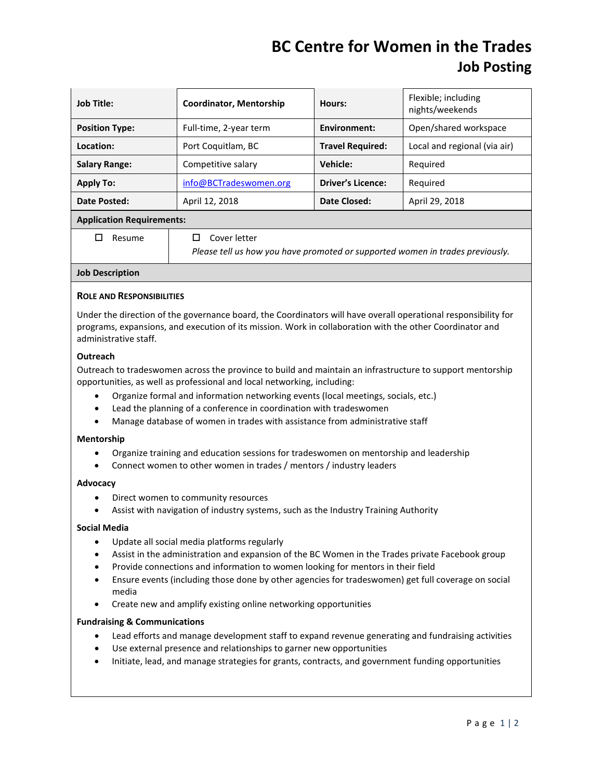## **BC Centre for Women in the Trades Job Posting**

| <b>Job Title:</b>                | <b>Coordinator, Mentorship</b> | Hours:                   | Flexible; including<br>nights/weekends |
|----------------------------------|--------------------------------|--------------------------|----------------------------------------|
| <b>Position Type:</b>            | Full-time, 2-year term         | <b>Environment:</b>      | Open/shared workspace                  |
| Location:                        | Port Coquitlam, BC             | <b>Travel Required:</b>  | Local and regional (via air)           |
| <b>Salary Range:</b>             | Competitive salary             | Vehicle:                 | Required                               |
| <b>Apply To:</b>                 | info@BCTradeswomen.org         | <b>Driver's Licence:</b> | Reguired                               |
| Date Posted:                     | April 12, 2018                 | Date Closed:             | April 29, 2018                         |
| <b>Application Requirements:</b> |                                |                          |                                        |
| Resume                           | Cover letter                   |                          |                                        |

*Please tell us how you have promoted or supported women in trades previously.*

## **Job Description**

## **ROLE AND RESPONSIBILITIES**

Under the direction of the governance board, the Coordinators will have overall operational responsibility for programs, expansions, and execution of its mission. Work in collaboration with the other Coordinator and administrative staff.

### **Outreach**

Outreach to tradeswomen across the province to build and maintain an infrastructure to support mentorship opportunities, as well as professional and local networking, including:

- Organize formal and information networking events (local meetings, socials, etc.)
- Lead the planning of a conference in coordination with tradeswomen
- Manage database of women in trades with assistance from administrative staff

#### **Mentorship**

- Organize training and education sessions for tradeswomen on mentorship and leadership
- Connect women to other women in trades / mentors / industry leaders

#### **Advocacy**

- Direct women to community resources
- Assist with navigation of industry systems, such as the Industry Training Authority

#### **Social Media**

- Update all social media platforms regularly
- Assist in the administration and expansion of the BC Women in the Trades private Facebook group
- Provide connections and information to women looking for mentors in their field
- Ensure events (including those done by other agencies for tradeswomen) get full coverage on social media
- Create new and amplify existing online networking opportunities

#### **Fundraising & Communications**

- Lead efforts and manage development staff to expand revenue generating and fundraising activities
- Use external presence and relationships to garner new opportunities
- Initiate, lead, and manage strategies for grants, contracts, and government funding opportunities